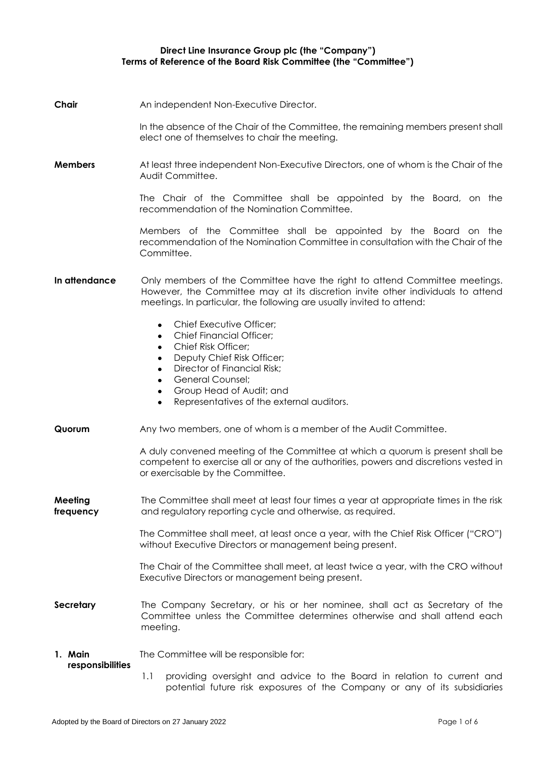#### **Direct Line Insurance Group plc (the "Company") Terms of Reference of the Board Risk Committee (the "Committee")**

**Chair** An independent Non-Executive Director.

In the absence of the Chair of the Committee, the remaining members present shall elect one of themselves to chair the meeting.

**Members** At least three independent Non-Executive Directors, one of whom is the Chair of the Audit Committee.

> The Chair of the Committee shall be appointed by the Board, on the recommendation of the Nomination Committee.

> Members of the Committee shall be appointed by the Board on the recommendation of the Nomination Committee in consultation with the Chair of the **Committee**

**In attendance** Only members of the Committee have the right to attend Committee meetings. However, the Committee may at its discretion invite other individuals to attend meetings. In particular, the following are usually invited to attend:

- Chief Executive Officer;
- Chief Financial Officer;
- Chief Risk Officer;
- Deputy Chief Risk Officer;
- Director of Financial Risk;
- General Counsel;
- Group Head of Audit; and
- Representatives of the external auditors.
- **Quorum** Any two members, one of whom is a member of the Audit Committee.

A duly convened meeting of the Committee at which a quorum is present shall be competent to exercise all or any of the authorities, powers and discretions vested in or exercisable by the Committee.

**Meeting frequency** The Committee shall meet at least four times a year at appropriate times in the risk and regulatory reporting cycle and otherwise, as required.

> The Committee shall meet, at least once a year, with the Chief Risk Officer ("CRO") without Executive Directors or management being present.

> The Chair of the Committee shall meet, at least twice a year, with the CRO without Executive Directors or management being present.

**Secretary** The Company Secretary, or his or her nominee, shall act as Secretary of the Committee unless the Committee determines otherwise and shall attend each meeting.

#### **1. Main**  The Committee will be responsible for:

#### **responsibilities**

1.1 providing oversight and advice to the Board in relation to current and potential future risk exposures of the Company or any of its subsidiaries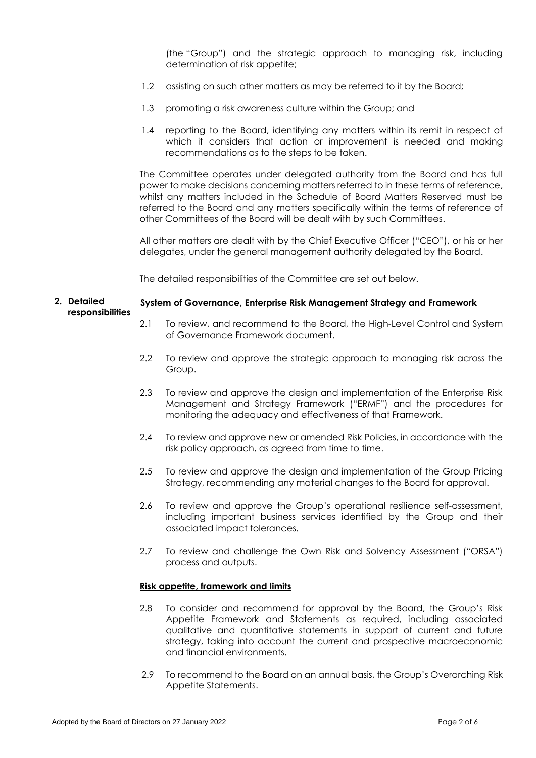(the "Group") and the strategic approach to managing risk, including determination of risk appetite;

- 1.2 assisting on such other matters as may be referred to it by the Board;
- 1.3 promoting a risk awareness culture within the Group; and
- 1.4 reporting to the Board, identifying any matters within its remit in respect of which it considers that action or improvement is needed and making recommendations as to the steps to be taken.

The Committee operates under delegated authority from the Board and has full power to make decisions concerning matters referred to in these terms of reference, whilst any matters included in the Schedule of Board Matters Reserved must be referred to the Board and any matters specifically within the terms of reference of other Committees of the Board will be dealt with by such Committees.

All other matters are dealt with by the Chief Executive Officer ("CEO"), or his or her delegates, under the general management authority delegated by the Board.

The detailed responsibilities of the Committee are set out below.

#### **2. Detailed responsibilities System of Governance, Enterprise Risk Management Strategy and Framework**

- 2.1 To review, and recommend to the Board, the High-Level Control and System of Governance Framework document.
- 2.2 To review and approve the strategic approach to managing risk across the Group.
- 2.3 To review and approve the design and implementation of the Enterprise Risk Management and Strategy Framework ("ERMF") and the procedures for monitoring the adequacy and effectiveness of that Framework.
- 2.4 To review and approve new or amended Risk Policies, in accordance with the risk policy approach, as agreed from time to time.
- 2.5 To review and approve the design and implementation of the Group Pricing Strategy, recommending any material changes to the Board for approval.
- 2.6 To review and approve the Group's operational resilience self-assessment, including important business services identified by the Group and their associated impact tolerances.
- 2.7 To review and challenge the Own Risk and Solvency Assessment ("ORSA") process and outputs.

#### **Risk appetite, framework and limits**

- 2.8 To consider and recommend for approval by the Board, the Group's Risk Appetite Framework and Statements as required, including associated qualitative and quantitative statements in support of current and future strategy, taking into account the current and prospective macroeconomic and financial environments.
- 2.9 To recommend to the Board on an annual basis, the Group's Overarching Risk Appetite Statements.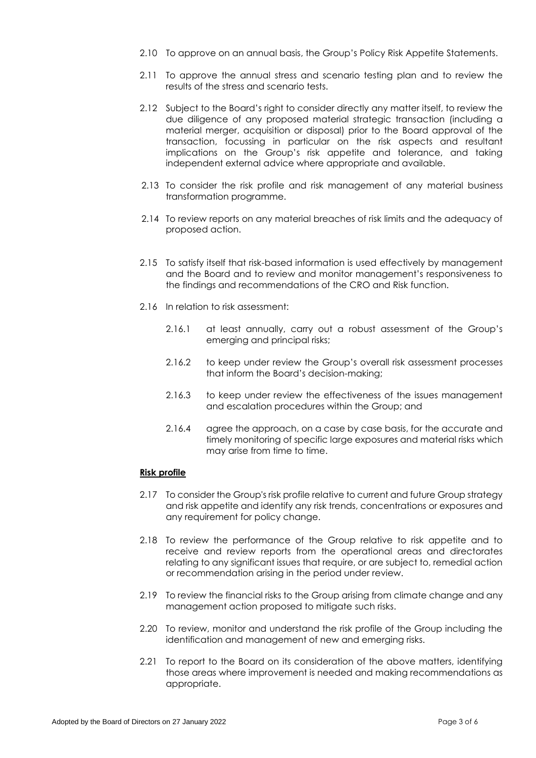- 2.10 To approve on an annual basis, the Group's Policy Risk Appetite Statements.
- 2.11 To approve the annual stress and scenario testing plan and to review the results of the stress and scenario tests.
- 2.12 Subject to the Board's right to consider directly any matter itself, to review the due diligence of any proposed material strategic transaction (including a material merger, acquisition or disposal) prior to the Board approval of the transaction, focussing in particular on the risk aspects and resultant implications on the Group's risk appetite and tolerance, and taking independent external advice where appropriate and available.
- 2.13 To consider the risk profile and risk management of any material business transformation programme.
- 2.14 To review reports on any material breaches of risk limits and the adequacy of proposed action.
- 2.15 To satisfy itself that risk-based information is used effectively by management and the Board and to review and monitor management's responsiveness to the findings and recommendations of the CRO and Risk function.
- 2.16 In relation to risk assessment:
	- 2.16.1 at least annually, carry out a robust assessment of the Group's emerging and principal risks;
	- 2.16.2 to keep under review the Group's overall risk assessment processes that inform the Board's decision-making;
	- 2.16.3 to keep under review the effectiveness of the issues management and escalation procedures within the Group; and
	- 2.16.4 agree the approach, on a case by case basis, for the accurate and timely monitoring of specific large exposures and material risks which may arise from time to time.

# **Risk profile**

- 2.17 To consider the Group's risk profile relative to current and future Group strategy and risk appetite and identify any risk trends, concentrations or exposures and any requirement for policy change.
- 2.18 To review the performance of the Group relative to risk appetite and to receive and review reports from the operational areas and directorates relating to any significant issues that require, or are subject to, remedial action or recommendation arising in the period under review.
- 2.19 To review the financial risks to the Group arising from climate change and any management action proposed to mitigate such risks.
- 2.20 To review, monitor and understand the risk profile of the Group including the identification and management of new and emerging risks.
- 2.21 To report to the Board on its consideration of the above matters, identifying those areas where improvement is needed and making recommendations as appropriate.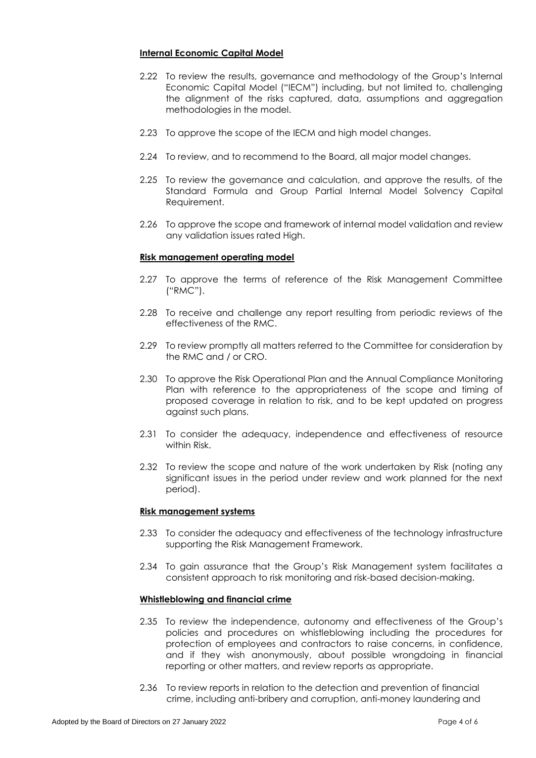# **Internal Economic Capital Model**

- 2.22 To review the results, governance and methodology of the Group's Internal Economic Capital Model ("IECM") including, but not limited to, challenging the alignment of the risks captured, data, assumptions and aggregation methodologies in the model.
- 2.23 To approve the scope of the IECM and high model changes.
- 2.24 To review, and to recommend to the Board, all major model changes.
- 2.25 To review the governance and calculation, and approve the results, of the Standard Formula and Group Partial Internal Model Solvency Capital Requirement.
- 2.26 To approve the scope and framework of internal model validation and review any validation issues rated High.

# **Risk management operating model**

- 2.27 To approve the terms of reference of the Risk Management Committee ("RMC").
- 2.28 To receive and challenge any report resulting from periodic reviews of the effectiveness of the RMC.
- 2.29 To review promptly all matters referred to the Committee for consideration by the RMC and / or CRO.
- 2.30 To approve the Risk Operational Plan and the Annual Compliance Monitoring Plan with reference to the appropriateness of the scope and timing of proposed coverage in relation to risk, and to be kept updated on progress against such plans.
- 2.31 To consider the adequacy, independence and effectiveness of resource within Risk.
- 2.32 To review the scope and nature of the work undertaken by Risk (noting any significant issues in the period under review and work planned for the next period).

# **Risk management systems**

- 2.33 To consider the adequacy and effectiveness of the technology infrastructure supporting the Risk Management Framework.
- 2.34 To gain assurance that the Group's Risk Management system facilitates a consistent approach to risk monitoring and risk-based decision-making.

#### **Whistleblowing and financial crime**

- 2.35 To review the independence, autonomy and effectiveness of the Group's policies and procedures on whistleblowing including the procedures for protection of employees and contractors to raise concerns, in confidence, and if they wish anonymously, about possible wrongdoing in financial reporting or other matters, and review reports as appropriate.
- 2.36 To review reports in relation to the detection and prevention of financial crime, including anti-bribery and corruption, anti-money laundering and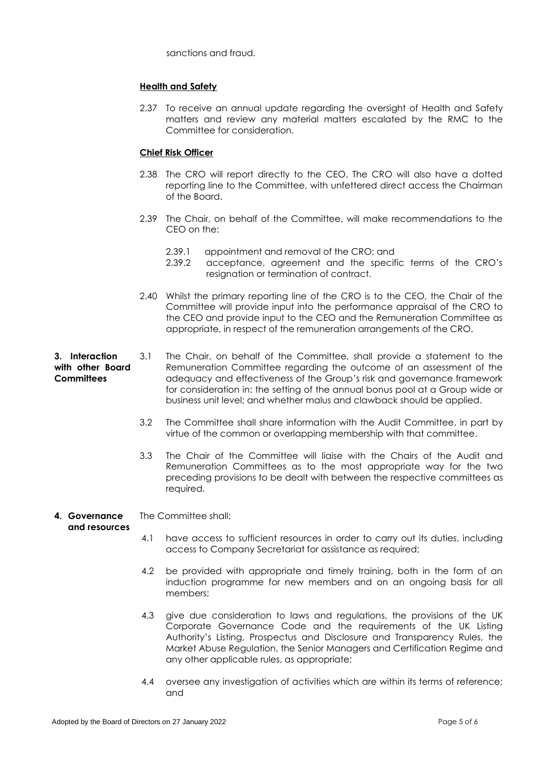sanctions and fraud.

# **Health and Safety**

2.37 To receive an annual update regarding the oversight of Health and Safety matters and review any material matters escalated by the RMC to the Committee for consideration.

# **Chief Risk Officer**

- 2.38 The CRO will report directly to the CEO. The CRO will also have a dotted reporting line to the Committee, with unfettered direct access the Chairman of the Board.
- 2.39 The Chair, on behalf of the Committee, will make recommendations to the CEO on the:
	- 2.39.1 appointment and removal of the CRO; and
	- 2.39.2 acceptance, agreement and the specific terms of the CRO's resignation or termination of contract.
- 2.40 Whilst the primary reporting line of the CRO is to the CEO, the Chair of the Committee will provide input into the performance appraisal of the CRO to the CEO and provide input to the CEO and the Remuneration Committee as appropriate, in respect of the remuneration arrangements of the CRO.
- **3. Interaction with other Board Committees** 3.1 The Chair, on behalf of the Committee, shall provide a statement to the Remuneration Committee regarding the outcome of an assessment of the adequacy and effectiveness of the Group's risk and governance framework for consideration in: the setting of the annual bonus pool at a Group wide or business unit level; and whether malus and clawback should be applied.
	- 3.2 The Committee shall share information with the Audit Committee, in part by virtue of the common or overlapping membership with that committee.
	- 3.3 The Chair of the Committee will liaise with the Chairs of the Audit and Remuneration Committees as to the most appropriate way for the two preceding provisions to be dealt with between the respective committees as required.

#### **4. Governance**  The Committee shall:

# **and resources**

- 4.1 have access to sufficient resources in order to carry out its duties, including access to Company Secretariat for assistance as required;
- 4.2 be provided with appropriate and timely training, both in the form of an induction programme for new members and on an ongoing basis for all members;
- 4.3 give due consideration to laws and regulations, the provisions of the UK Corporate Governance Code and the requirements of the UK Listing Authority's Listing, Prospectus and Disclosure and Transparency Rules, the Market Abuse Regulation, the Senior Managers and Certification Regime and any other applicable rules, as appropriate;
- 4.4 oversee any investigation of activities which are within its terms of reference; and